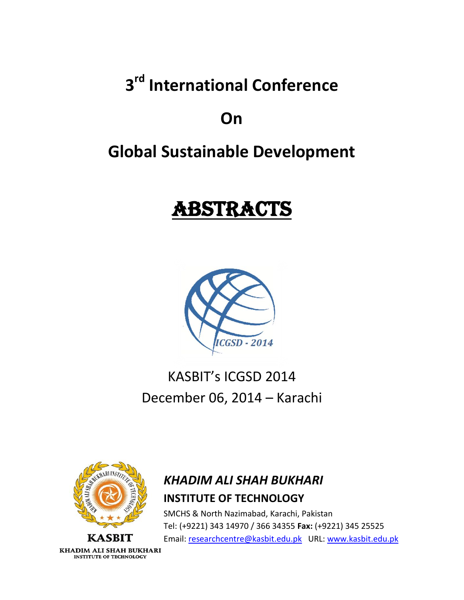**3 rd International Conference**

# **On**

# **Global Sustainable Development**

# ABSTRACTS



# KASBIT's ICGSD 2014 December 06, 2014 – Karachi



### *KHADIM ALI SHAH BUKHARI* **INSTITUTE OF TECHNOLOGY**

SMCHS & North Nazimabad, Karachi, Pakistan Tel: (+9221) 343 14970 / 366 34355 **Fax:** (+9221) 345 25525 Email[: researchcentre@kasbit.edu.pk](mailto:researchcentre@kasbit.edu.pk) URL[: www.kasbit.edu.pk](http://www.kasbit.edu.pk/)

KHADIM ALI SHAH BUKHARI **INSTITUTE OF TECHNOLOGY**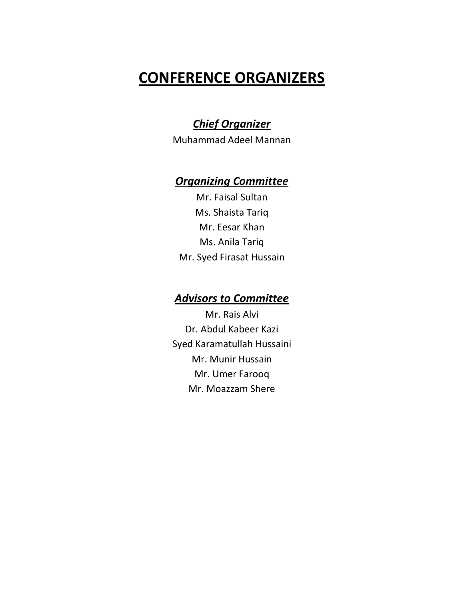## **CONFERENCE ORGANIZERS**

### *Chief Organizer*

Muhammad Adeel Mannan

### *Organizing Committee*

Mr. Faisal Sultan Ms. Shaista Tariq Mr. Eesar Khan Ms. Anila Tariq Mr. Syed Firasat Hussain

### *Advisors to Committee*

Mr. Rais Alvi Dr. Abdul Kabeer Kazi Syed Karamatullah Hussaini Mr. Munir Hussain Mr. Umer Farooq Mr. Moazzam Shere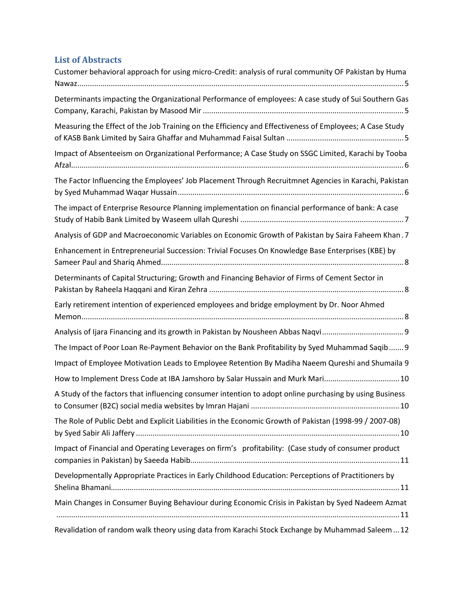### **List of Abstracts**

| Customer behavioral approach for using micro-Credit: analysis of rural community OF Pakistan by Huma    |
|---------------------------------------------------------------------------------------------------------|
| Determinants impacting the Organizational Performance of employees: A case study of Sui Southern Gas    |
| Measuring the Effect of the Job Training on the Efficiency and Effectiveness of Employees; A Case Study |
| Impact of Absenteeism on Organizational Performance; A Case Study on SSGC Limited, Karachi by Tooba     |
| The Factor Influencing the Employees' Job Placement Through Recruitmnet Agencies in Karachi, Pakistan   |
| The impact of Enterprise Resource Planning implementation on financial performance of bank: A case      |
| Analysis of GDP and Macroeconomic Variables on Economic Growth of Pakistan by Saira Faheem Khan. 7      |
| Enhancement in Entrepreneurial Succession: Trivial Focuses On Knowledge Base Enterprises (KBE) by       |
| Determinants of Capital Structuring; Growth and Financing Behavior of Firms of Cement Sector in         |
| Early retirement intention of experienced employees and bridge employment by Dr. Noor Ahmed             |
|                                                                                                         |
| The Impact of Poor Loan Re-Payment Behavior on the Bank Profitability by Syed Muhammad Saqib 9          |
| Impact of Employee Motivation Leads to Employee Retention By Madiha Naeem Qureshi and Shumaila 9        |
| How to Implement Dress Code at IBA Jamshoro by Salar Hussain and Murk Mari 10                           |
| A Study of the factors that influencing consumer intention to adopt online purchasing by using Business |
| The Role of Public Debt and Explicit Liabilities in the Economic Growth of Pakistan (1998-99 / 2007-08) |
| Impact of Financial and Operating Leverages on firm's profitability: (Case study of consumer product    |
| Developmentally Appropriate Practices in Early Childhood Education: Perceptions of Practitioners by     |
| Main Changes in Consumer Buying Behaviour during Economic Crisis in Pakistan by Syed Nadeem Azmat       |
| Revalidation of random walk theory using data from Karachi Stock Exchange by Muhammad Saleem12          |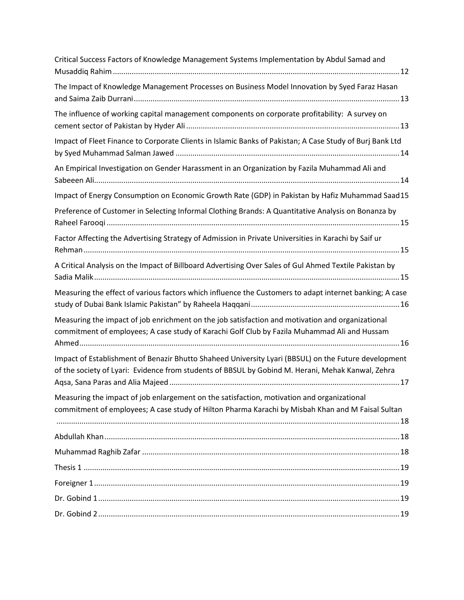| Critical Success Factors of Knowledge Management Systems Implementation by Abdul Samad and                                                                                                                |
|-----------------------------------------------------------------------------------------------------------------------------------------------------------------------------------------------------------|
| The Impact of Knowledge Management Processes on Business Model Innovation by Syed Faraz Hasan                                                                                                             |
| The influence of working capital management components on corporate profitability: A survey on                                                                                                            |
| Impact of Fleet Finance to Corporate Clients in Islamic Banks of Pakistan; A Case Study of Burj Bank Ltd                                                                                                  |
| An Empirical Investigation on Gender Harassment in an Organization by Fazila Muhammad Ali and                                                                                                             |
| Impact of Energy Consumption on Economic Growth Rate (GDP) in Pakistan by Hafiz Muhammad Saad15                                                                                                           |
| Preference of Customer in Selecting Informal Clothing Brands: A Quantitative Analysis on Bonanza by                                                                                                       |
| Factor Affecting the Advertising Strategy of Admission in Private Universities in Karachi by Saif ur                                                                                                      |
| A Critical Analysis on the Impact of Billboard Advertising Over Sales of Gul Ahmed Textile Pakistan by                                                                                                    |
| Measuring the effect of various factors which influence the Customers to adapt internet banking; A case                                                                                                   |
| Measuring the impact of job enrichment on the job satisfaction and motivation and organizational<br>commitment of employees; A case study of Karachi Golf Club by Fazila Muhammad Ali and Hussam          |
| Impact of Establishment of Benazir Bhutto Shaheed University Lyari (BBSUL) on the Future development<br>of the society of Lyari: Evidence from students of BBSUL by Gobind M. Herani, Mehak Kanwal, Zehra |
| Measuring the impact of job enlargement on the satisfaction, motivation and organizational<br>commitment of employees; A case study of Hilton Pharma Karachi by Misbah Khan and M Faisal Sultan           |
|                                                                                                                                                                                                           |
|                                                                                                                                                                                                           |
|                                                                                                                                                                                                           |
|                                                                                                                                                                                                           |
|                                                                                                                                                                                                           |
|                                                                                                                                                                                                           |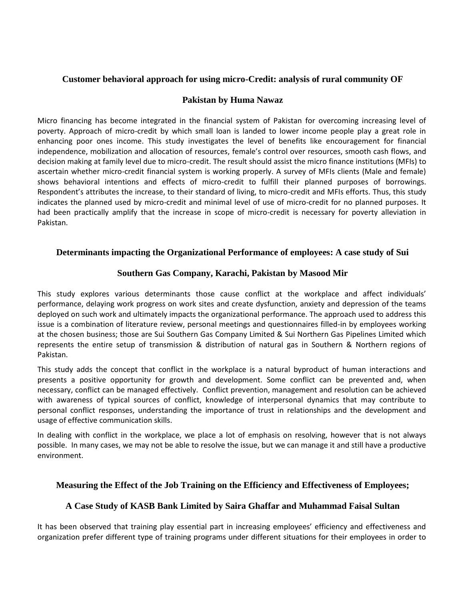#### <span id="page-4-0"></span>**Customer behavioral approach for using micro-Credit: analysis of rural community OF**

#### **Pakistan by Huma Nawaz**

Micro financing has become integrated in the financial system of Pakistan for overcoming increasing level of poverty. Approach of micro-credit by which small loan is landed to lower income people play a great role in enhancing poor ones income. This study investigates the level of benefits like encouragement for financial independence, mobilization and allocation of resources, female's control over resources, smooth cash flows, and decision making at family level due to micro-credit. The result should assist the micro finance institutions (MFIs) to ascertain whether micro-credit financial system is working properly. A survey of MFIs clients (Male and female) shows behavioral intentions and effects of micro-credit to fulfill their planned purposes of borrowings. Respondent's attributes the increase, to their standard of living, to micro-credit and MFIs efforts. Thus, this study indicates the planned used by micro-credit and minimal level of use of micro-credit for no planned purposes. It had been practically amplify that the increase in scope of micro-credit is necessary for poverty alleviation in Pakistan.

#### <span id="page-4-1"></span>**Determinants impacting the Organizational Performance of employees: A case study of Sui**

#### **Southern Gas Company, Karachi, Pakistan by Masood Mir**

This study explores various determinants those cause conflict at the workplace and affect individuals' performance, delaying work progress on work sites and create dysfunction, anxiety and depression of the teams deployed on such work and ultimately impacts the organizational performance. The approach used to address this issue is a combination of literature review, personal meetings and questionnaires filled-in by employees working at the chosen business; those are Sui Southern Gas Company Limited & Sui Northern Gas Pipelines Limited which represents the entire setup of transmission & distribution of natural gas in Southern & Northern regions of Pakistan.

This study adds the concept that conflict in the workplace is a natural byproduct of human interactions and presents a positive opportunity for growth and development. Some conflict can be prevented and, when necessary, conflict can be managed effectively. Conflict prevention, management and resolution can be achieved with awareness of typical sources of conflict, knowledge of interpersonal dynamics that may contribute to personal conflict responses, understanding the importance of trust in relationships and the development and usage of effective communication skills.

In dealing with conflict in the workplace, we place a lot of emphasis on resolving, however that is not always possible. In many cases, we may not be able to resolve the issue, but we can manage it and still have a productive environment.

#### <span id="page-4-2"></span>**Measuring the Effect of the Job Training on the Efficiency and Effectiveness of Employees;**

#### **A Case Study of KASB Bank Limited by Saira Ghaffar and Muhammad Faisal Sultan**

It has been observed that training play essential part in increasing employees' efficiency and effectiveness and organization prefer different type of training programs under different situations for their employees in order to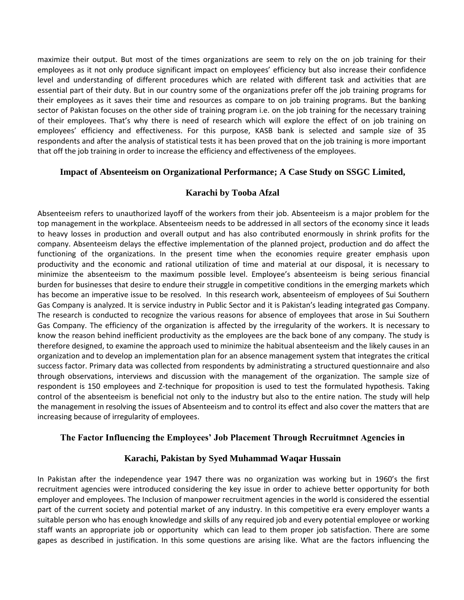maximize their output. But most of the times organizations are seem to rely on the on job training for their employees as it not only produce significant impact on employees' efficiency but also increase their confidence level and understanding of different procedures which are related with different task and activities that are essential part of their duty. But in our country some of the organizations prefer off the job training programs for their employees as it saves their time and resources as compare to on job training programs. But the banking sector of Pakistan focuses on the other side of training program i.e. on the job training for the necessary training of their employees. That's why there is need of research which will explore the effect of on job training on employees' efficiency and effectiveness. For this purpose, KASB bank is selected and sample size of 35 respondents and after the analysis of statistical tests it has been proved that on the job training is more important that off the job training in order to increase the efficiency and effectiveness of the employees.

#### <span id="page-5-0"></span>**Impact of Absenteeism on Organizational Performance; A Case Study on SSGC Limited,**

#### **Karachi by Tooba Afzal**

Absenteeism refers to unauthorized layoff of the workers from their job. Absenteeism is a major problem for the top management in the workplace. Absenteeism needs to be addressed in all sectors of the economy since it leads to heavy losses in production and overall output and has also contributed enormously in shrink profits for the company. Absenteeism delays the effective implementation of the planned project, production and do affect the functioning of the organizations. In the present time when the economies require greater emphasis upon productivity and the economic and rational utilization of time and material at our disposal, it is necessary to minimize the absenteeism to the maximum possible level. Employee's absenteeism is being serious financial burden for businesses that desire to endure their struggle in competitive conditions in the emerging markets which has become an imperative issue to be resolved. In this research work, absenteeism of employees of Sui Southern Gas Company is analyzed. It is service industry in Public Sector and it is Pakistan's leading integrated gas Company. The research is conducted to recognize the various reasons for absence of employees that arose in Sui Southern Gas Company. The efficiency of the organization is affected by the irregularity of the workers. It is necessary to know the reason behind inefficient productivity as the employees are the back bone of any company. The study is therefore designed, to examine the approach used to minimize the habitual absenteeism and the likely causes in an organization and to develop an implementation plan for an absence management system that integrates the critical success factor. Primary data was collected from respondents by administrating a structured questionnaire and also through observations, interviews and discussion with the management of the organization. The sample size of respondent is 150 employees and Z-technique for proposition is used to test the formulated hypothesis. Taking control of the absenteeism is beneficial not only to the industry but also to the entire nation. The study will help the management in resolving the issues of Absenteeism and to control its effect and also cover the matters that are increasing because of irregularity of employees.

#### <span id="page-5-1"></span>**The Factor Influencing the Employees' Job Placement Through Recruitmnet Agencies in**

#### **Karachi, Pakistan by Syed Muhammad Waqar Hussain**

In Pakistan after the independence year 1947 there was no organization was working but in 1960's the first recruitment agencies were introduced considering the key issue in order to achieve better opportunity for both employer and employees. The Inclusion of manpower recruitment agencies in the world is considered the essential part of the current society and potential market of any industry. In this competitive era every employer wants a suitable person who has enough knowledge and skills of any required job and every potential employee or working staff wants an appropriate job or opportunity which can lead to them proper job satisfaction. There are some gapes as described in justification. In this some questions are arising like. What are the factors influencing the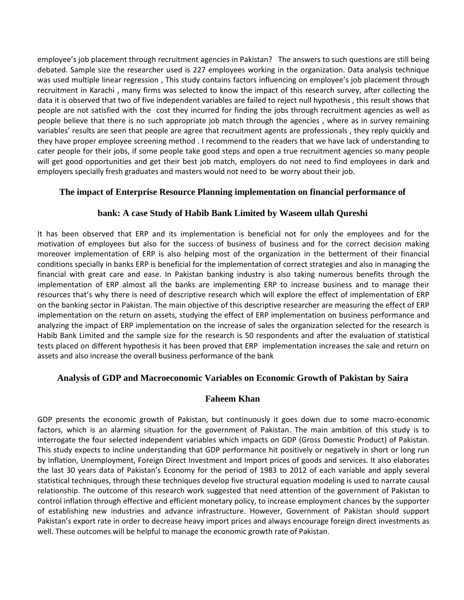employee's job placement through recruitment agencies in Pakistan? The answers to such questions are still being debated. Sample size the researcher used is 227 employees working in the organization. Data analysis technique was used multiple linear regression , This study contains factors influencing on employee's job placement through recruitment in Karachi , many firms was selected to know the impact of this research survey, after collecting the data it is observed that two of five independent variables are failed to reject null hypothesis , this result shows that people are not satisfied with the cost they incurred for finding the jobs through recruitment agencies as well as people believe that there is no such appropriate job match through the agencies , where as in survey remaining variables' results are seen that people are agree that recruitment agents are professionals , they reply quickly and they have proper employee screening method . I recommend to the readers that we have lack of understanding to cater people for their jobs, if some people take good steps and open a true recruitment agencies so many people will get good opportunities and get their best job match, employers do not need to find employees in dark and employers specially fresh graduates and masters would not need to be worry about their job.

#### <span id="page-6-0"></span>**The impact of Enterprise Resource Planning implementation on financial performance of**

#### **bank: A case Study of Habib Bank Limited by Waseem ullah Qureshi**

It has been observed that ERP and its implementation is beneficial not for only the employees and for the motivation of employees but also for the success of business of business and for the correct decision making moreover implementation of ERP is also helping most of the organization in the betterment of their financial conditions specially in banks ERP is beneficial for the implementation of correct strategies and also in managing the financial with great care and ease. In Pakistan banking industry is also taking numerous benefits through the implementation of ERP almost all the banks are implementing ERP to increase business and to manage their resources that's why there is need of descriptive research which will explore the effect of implementation of ERP on the banking sector in Pakistan. The main objective of this descriptive researcher are measuring the effect of ERP implementation on the return on assets, studying the effect of ERP implementation on business performance and analyzing the impact of ERP implementation on the increase of sales the organization selected for the research is Habib Bank Limited and the sample size for the research is 50 respondents and after the evaluation of statistical tests placed on different hypothesis it has been proved that ERP implementation increases the sale and return on assets and also increase the overall business performance of the bank

#### <span id="page-6-1"></span>**Analysis of GDP and Macroeconomic Variables on Economic Growth of Pakistan by Saira**

#### **Faheem Khan**

GDP presents the economic growth of Pakistan, but continuously it goes down due to some macro-economic factors, which is an alarming situation for the government of Pakistan. The main ambition of this study is to interrogate the four selected independent variables which impacts on GDP (Gross Domestic Product) of Pakistan. This study expects to incline understanding that GDP performance hit positively or negatively in short or long run by Inflation, Unemployment, Foreign Direct Investment and Import prices of goods and services. It also elaborates the last 30 years data of Pakistan's Economy for the period of 1983 to 2012 of each variable and apply several statistical techniques, through these techniques develop five structural equation modeling is used to narrate causal relationship. The outcome of this research work suggested that need attention of the government of Pakistan to control inflation through effective and efficient monetary policy, to increase employment chances by the supporter of establishing new industries and advance infrastructure. However, Government of Pakistan should support Pakistan's export rate in order to decrease heavy import prices and always encourage foreign direct investments as well. These outcomes will be helpful to manage the economic growth rate of Pakistan.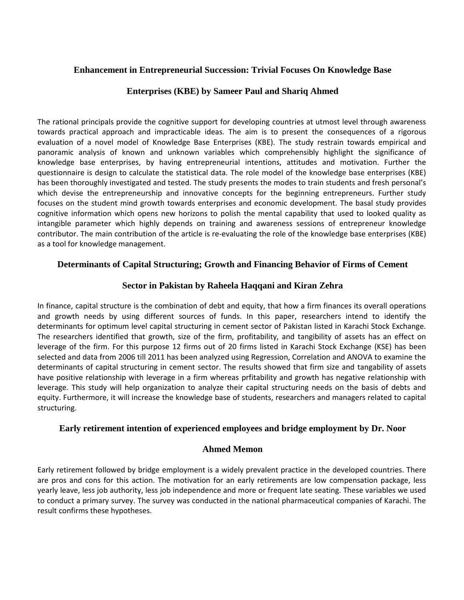#### <span id="page-7-0"></span>**Enhancement in Entrepreneurial Succession: Trivial Focuses On Knowledge Base**

#### **Enterprises (KBE) by Sameer Paul and Shariq Ahmed**

The rational principals provide the cognitive support for developing countries at utmost level through awareness towards practical approach and impracticable ideas. The aim is to present the consequences of a rigorous evaluation of a novel model of Knowledge Base Enterprises (KBE). The study restrain towards empirical and panoramic analysis of known and unknown variables which comprehensibly highlight the significance of knowledge base enterprises, by having entrepreneurial intentions, attitudes and motivation. Further the questionnaire is design to calculate the statistical data. The role model of the knowledge base enterprises (KBE) has been thoroughly investigated and tested. The study presents the modes to train students and fresh personal's which devise the entrepreneurship and innovative concepts for the beginning entrepreneurs. Further study focuses on the student mind growth towards enterprises and economic development. The basal study provides cognitive information which opens new horizons to polish the mental capability that used to looked quality as intangible parameter which highly depends on training and awareness sessions of entrepreneur knowledge contributor. The main contribution of the article is re-evaluating the role of the knowledge base enterprises (KBE) as a tool for knowledge management.

#### <span id="page-7-1"></span>**Determinants of Capital Structuring; Growth and Financing Behavior of Firms of Cement**

#### **Sector in Pakistan by Raheela Haqqani and Kiran Zehra**

In finance, capital structure is the combination of debt and equity, that how a firm finances its overall operations and growth needs by using different sources of funds. In this paper, researchers intend to identify the determinants for optimum level capital structuring in cement sector of Pakistan listed in Karachi Stock Exchange. The researchers identified that growth, size of the firm, profitability, and tangibility of assets has an effect on leverage of the firm. For this purpose 12 firms out of 20 firms listed in Karachi Stock Exchange (KSE) has been selected and data from 2006 till 2011 has been analyzed using Regression, Correlation and ANOVA to examine the determinants of capital structuring in cement sector. The results showed that firm size and tangability of assets have positive relationship with leverage in a firm whereas prfitability and growth has negative relationship with leverage. This study will help organization to analyze their capital structuring needs on the basis of debts and equity. Furthermore, it will increase the knowledge base of students, researchers and managers related to capital structuring.

#### <span id="page-7-2"></span>**Early retirement intention of experienced employees and bridge employment by Dr. Noor**

#### **Ahmed Memon**

Early retirement followed by bridge employment is a widely prevalent practice in the developed countries. There are pros and cons for this action. The motivation for an early retirements are low compensation package, less yearly leave, less job authority, less job independence and more or frequent late seating. These variables we used to conduct a primary survey. The survey was conducted in the national pharmaceutical companies of Karachi. The result confirms these hypotheses.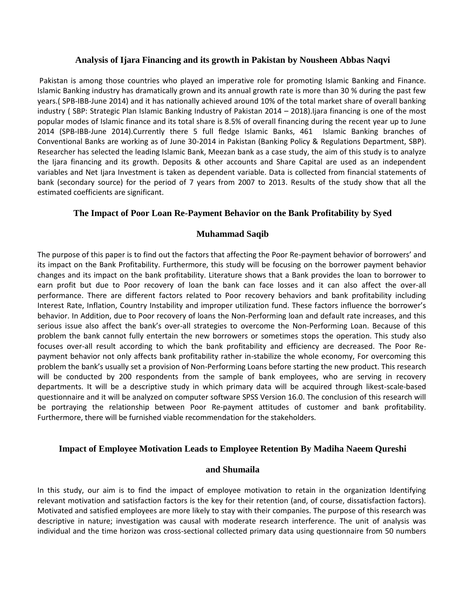#### <span id="page-8-0"></span>**Analysis of Ijara Financing and its growth in Pakistan by Nousheen Abbas Naqvi**

Pakistan is among those countries who played an imperative role for promoting Islamic Banking and Finance. Islamic Banking industry has dramatically grown and its annual growth rate is more than 30 % during the past few years.( SPB-IBB-June 2014) and it has nationally achieved around 10% of the total market share of overall banking industry ( SBP: Strategic Plan Islamic Banking Industry of Pakistan 2014 – 2018).Ijara financing is one of the most popular modes of Islamic finance and its total share is 8.5% of overall financing during the recent year up to June 2014 (SPB-IBB-June 2014).Currently there 5 full fledge Islamic Banks, 461 Islamic Banking branches of Conventional Banks are working as of June 30-2014 in Pakistan (Banking Policy & Regulations Department, SBP). Researcher has selected the leading Islamic Bank, Meezan bank as a case study, the aim of this study is to analyze the Ijara financing and its growth. Deposits & other accounts and Share Capital are used as an independent variables and Net Ijara Investment is taken as dependent variable. Data is collected from financial statements of bank (secondary source) for the period of 7 years from 2007 to 2013. Results of the study show that all the estimated coefficients are significant.

#### <span id="page-8-1"></span>**The Impact of Poor Loan Re-Payment Behavior on the Bank Profitability by Syed**

#### **Muhammad Saqib**

The purpose of this paper is to find out the factors that affecting the Poor Re-payment behavior of borrowers' and its impact on the Bank Profitability. Furthermore, this study will be focusing on the borrower payment behavior changes and its impact on the bank profitability. Literature shows that a Bank provides the loan to borrower to earn profit but due to Poor recovery of loan the bank can face losses and it can also affect the over-all performance. There are different factors related to Poor recovery behaviors and bank profitability including Interest Rate, Inflation, Country Instability and improper utilization fund. These factors influence the borrower's behavior. In Addition, due to Poor recovery of loans the Non-Performing loan and default rate increases, and this serious issue also affect the bank's over-all strategies to overcome the Non-Performing Loan. Because of this problem the bank cannot fully entertain the new borrowers or sometimes stops the operation. This study also focuses over-all result according to which the bank profitability and efficiency are decreased. The Poor Repayment behavior not only affects bank profitability rather in-stabilize the whole economy, For overcoming this problem the bank's usually set a provision of Non-Performing Loans before starting the new product. This research will be conducted by 200 respondents from the sample of bank employees, who are serving in recovery departments. It will be a descriptive study in which primary data will be acquired through likest-scale-based questionnaire and it will be analyzed on computer software SPSS Version 16.0. The conclusion of this research will be portraying the relationship between Poor Re-payment attitudes of customer and bank profitability. Furthermore, there will be furnished viable recommendation for the stakeholders.

#### <span id="page-8-2"></span>**Impact of Employee Motivation Leads to Employee Retention By Madiha Naeem Qureshi**

#### **and Shumaila**

In this study, our aim is to find the impact of employee motivation to retain in the organization Identifying relevant motivation and satisfaction factors is the key for their retention (and, of course, dissatisfaction factors). Motivated and satisfied employees are more likely to stay with their companies. The purpose of this research was descriptive in nature; investigation was causal with moderate research interference. The unit of analysis was individual and the time horizon was cross-sectional collected primary data using questionnaire from 50 numbers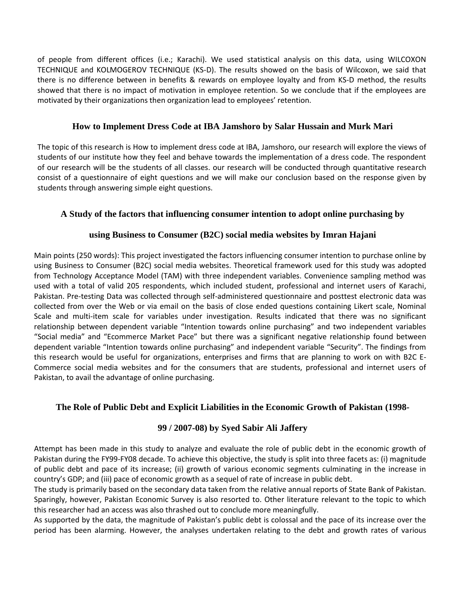of people from different offices (i.e.; Karachi). We used statistical analysis on this data, using WILCOXON TECHNIQUE and KOLMOGEROV TECHNIQUE (KS-D). The results showed on the basis of Wilcoxon, we said that there is no difference between in benefits & rewards on employee loyalty and from KS-D method, the results showed that there is no impact of motivation in employee retention. So we conclude that if the employees are motivated by their organizations then organization lead to employees' retention.

#### <span id="page-9-0"></span>**How to Implement Dress Code at IBA Jamshoro by Salar Hussain and Murk Mari**

The topic of this research is How to implement dress code at IBA, Jamshoro, our research will explore the views of students of our institute how they feel and behave towards the implementation of a dress code. The respondent of our research will be the students of all classes. our research will be conducted through quantitative research consist of a questionnaire of eight questions and we will make our conclusion based on the response given by students through answering simple eight questions.

#### <span id="page-9-1"></span>**A Study of the factors that influencing consumer intention to adopt online purchasing by**

#### **using Business to Consumer (B2C) social media websites by Imran Hajani**

Main points (250 words): This project investigated the factors influencing consumer intention to purchase online by using Business to Consumer (B2C) social media websites. Theoretical framework used for this study was adopted from Technology Acceptance Model (TAM) with three independent variables. Convenience sampling method was used with a total of valid 205 respondents, which included student, professional and internet users of Karachi, Pakistan. Pre-testing Data was collected through self-administered questionnaire and posttest electronic data was collected from over the Web or via email on the basis of close ended questions containing Likert scale, Nominal Scale and multi-item scale for variables under investigation. Results indicated that there was no significant relationship between dependent variable "Intention towards online purchasing" and two independent variables "Social media" and "Ecommerce Market Pace" but there was a significant negative relationship found between dependent variable "Intention towards online purchasing" and independent variable "Security". The findings from this research would be useful for organizations, enterprises and firms that are planning to work on with B2C E-Commerce social media websites and for the consumers that are students, professional and internet users of Pakistan, to avail the advantage of online purchasing.

#### <span id="page-9-2"></span>**The Role of Public Debt and Explicit Liabilities in the Economic Growth of Pakistan (1998-**

#### **99 / 2007-08) by Syed Sabir Ali Jaffery**

Attempt has been made in this study to analyze and evaluate the role of public debt in the economic growth of Pakistan during the FY99-FY08 decade. To achieve this objective, the study is split into three facets as: (i) magnitude of public debt and pace of its increase; (ii) growth of various economic segments culminating in the increase in country's GDP; and (iii) pace of economic growth as a sequel of rate of increase in public debt.

The study is primarily based on the secondary data taken from the relative annual reports of State Bank of Pakistan. Sparingly, however, Pakistan Economic Survey is also resorted to. Other literature relevant to the topic to which this researcher had an access was also thrashed out to conclude more meaningfully.

As supported by the data, the magnitude of Pakistan's public debt is colossal and the pace of its increase over the period has been alarming. However, the analyses undertaken relating to the debt and growth rates of various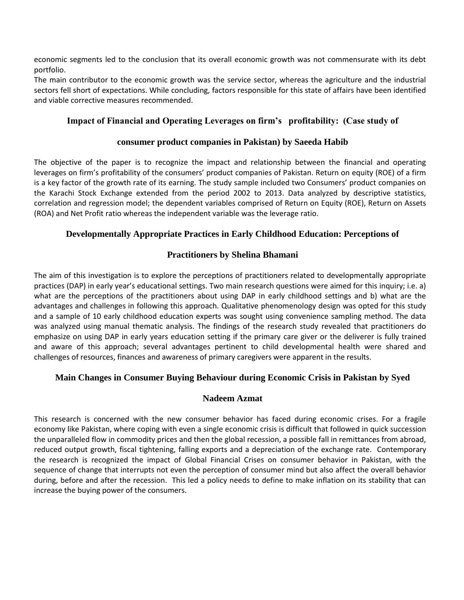economic segments led to the conclusion that its overall economic growth was not commensurate with its debt portfolio.

The main contributor to the economic growth was the service sector, whereas the agriculture and the industrial sectors fell short of expectations. While concluding, factors responsible for this state of affairs have been identified and viable corrective measures recommended.

#### <span id="page-10-0"></span>**Impact of Financial and Operating Leverages on firm's profitability: (Case study of**

#### **consumer product companies in Pakistan) by Saeeda Habib**

The objective of the paper is to recognize the impact and relationship between the financial and operating leverages on firm's profitability of the consumers' product companies of Pakistan. Return on equity (ROE) of a firm is a key factor of the growth rate of its earning. The study sample included two Consumers' product companies on the Karachi Stock Exchange extended from the period 2002 to 2013. Data analyzed by descriptive statistics, correlation and regression model; the dependent variables comprised of Return on Equity (ROE), Return on Assets (ROA) and Net Profit ratio whereas the independent variable was the leverage ratio.

#### <span id="page-10-1"></span>**Developmentally Appropriate Practices in Early Childhood Education: Perceptions of**

#### **Practitioners by Shelina Bhamani**

The aim of this investigation is to explore the perceptions of practitioners related to developmentally appropriate practices (DAP) in early year's educational settings. Two main research questions were aimed for this inquiry; i.e. a) what are the perceptions of the practitioners about using DAP in early childhood settings and b) what are the advantages and challenges in following this approach. Qualitative phenomenology design was opted for this study and a sample of 10 early childhood education experts was sought using convenience sampling method. The data was analyzed using manual thematic analysis. The findings of the research study revealed that practitioners do emphasize on using DAP in early years education setting if the primary care giver or the deliverer is fully trained and aware of this approach; several advantages pertinent to child developmental health were shared and challenges of resources, finances and awareness of primary caregivers were apparent in the results.

#### <span id="page-10-2"></span>**Main Changes in Consumer Buying Behaviour during Economic Crisis in Pakistan by Syed**

#### **Nadeem Azmat**

This research is concerned with the new consumer behavior has faced during economic crises. For a fragile economy like Pakistan, where coping with even a single economic crisis is difficult that followed in quick succession the unparalleled flow in commodity prices and then the global recession, a possible fall in remittances from abroad, reduced output growth, fiscal tightening, falling exports and a depreciation of the exchange rate. Contemporary the research is recognized the impact of Global Financial Crises on consumer behavior in Pakistan, with the sequence of change that interrupts not even the perception of consumer mind but also affect the overall behavior during, before and after the recession. This led a policy needs to define to make inflation on its stability that can increase the buying power of the consumers.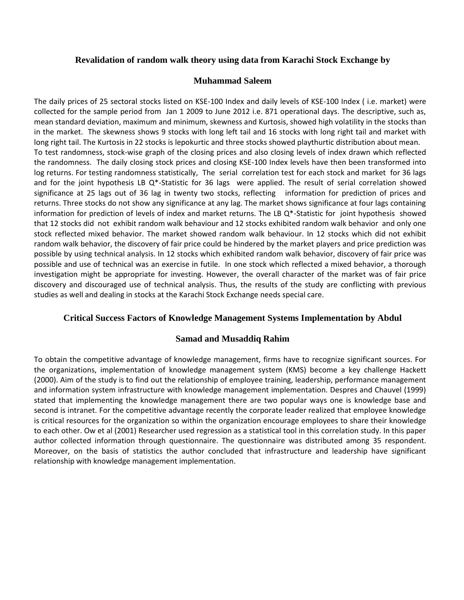#### <span id="page-11-0"></span>**Revalidation of random walk theory using data from Karachi Stock Exchange by**

#### **Muhammad Saleem**

The daily prices of 25 sectoral stocks listed on KSE-100 Index and daily levels of KSE-100 Index ( i.e. market) were collected for the sample period from Jan 1 2009 to June 2012 i.e. 871 operational days. The descriptive, such as, mean standard deviation, maximum and minimum, skewness and Kurtosis, showed high volatility in the stocks than in the market. The skewness shows 9 stocks with long left tail and 16 stocks with long right tail and market with long right tail. The Kurtosis in 22 stocks is lepokurtic and three stocks showed playthurtic distribution about mean. To test randomness, stock-wise graph of the closing prices and also closing levels of index drawn which reflected the randomness. The daily closing stock prices and closing KSE-100 Index levels have then been transformed into log returns. For testing randomness statistically, The serial correlation test for each stock and market for 36 lags and for the joint hypothesis LB Q\*-Statistic for 36 lags were applied. The result of serial correlation showed significance at 25 lags out of 36 lag in twenty two stocks, reflecting information for prediction of prices and returns. Three stocks do not show any significance at any lag. The market shows significance at four lags containing information for prediction of levels of index and market returns. The LB  $Q^*$ -Statistic for joint hypothesis showed that 12 stocks did not exhibit random walk behaviour and 12 stocks exhibited random walk behavior and only one stock reflected mixed behavior. The market showed random walk behaviour. In 12 stocks which did not exhibit random walk behavior, the discovery of fair price could be hindered by the market players and price prediction was possible by using technical analysis. In 12 stocks which exhibited random walk behavior, discovery of fair price was possible and use of technical was an exercise in futile. In one stock which reflected a mixed behavior, a thorough investigation might be appropriate for investing. However, the overall character of the market was of fair price discovery and discouraged use of technical analysis. Thus, the results of the study are conflicting with previous studies as well and dealing in stocks at the Karachi Stock Exchange needs special care.

#### <span id="page-11-1"></span>**Critical Success Factors of Knowledge Management Systems Implementation by Abdul**

#### **Samad and Musaddiq Rahim**

To obtain the competitive advantage of knowledge management, firms have to recognize significant sources. For the organizations, implementation of knowledge management system (KMS) become a key challenge Hackett (2000). Aim of the study is to find out the relationship of employee training, leadership, performance management and information system infrastructure with knowledge management implementation. Despres and Chauvel (1999) stated that implementing the knowledge management there are two popular ways one is knowledge base and second is intranet. For the competitive advantage recently the corporate leader realized that employee knowledge is critical resources for the organization so within the organization encourage employees to share their knowledge to each other. Ow et al (2001) Researcher used regression as a statistical tool in this correlation study. In this paper author collected information through questionnaire. The questionnaire was distributed among 35 respondent. Moreover, on the basis of statistics the author concluded that infrastructure and leadership have significant relationship with knowledge management implementation.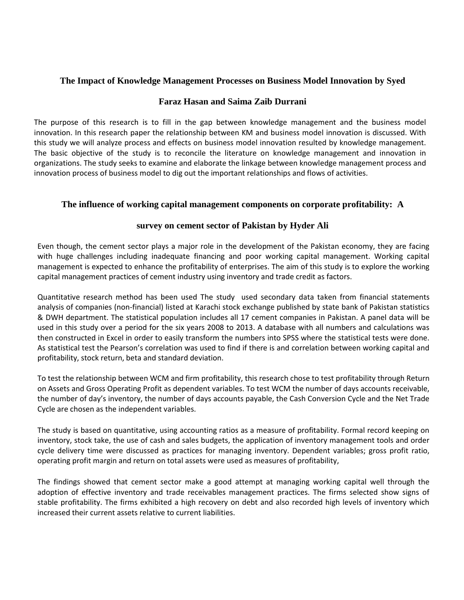#### <span id="page-12-0"></span>**The Impact of Knowledge Management Processes on Business Model Innovation by Syed**

#### **Faraz Hasan and Saima Zaib Durrani**

The purpose of this research is to fill in the gap between knowledge management and the business model innovation. In this research paper the relationship between KM and business model innovation is discussed. With this study we will analyze process and effects on business model innovation resulted by knowledge management. The basic objective of the study is to reconcile the literature on knowledge management and innovation in organizations. The study seeks to examine and elaborate the linkage between knowledge management process and innovation process of business model to dig out the important relationships and flows of activities.

#### <span id="page-12-1"></span>**The influence of working capital management components on corporate profitability: A**

#### **survey on cement sector of Pakistan by Hyder Ali**

Even though, the cement sector plays a major role in the development of the Pakistan economy, they are facing with huge challenges including inadequate financing and poor working capital management. Working capital management is expected to enhance the profitability of enterprises. The aim of this study is to explore the working capital management practices of cement industry using inventory and trade credit as factors.

Quantitative research method has been used The study used secondary data taken from financial statements analysis of companies (non-financial) listed at Karachi stock exchange published by state bank of Pakistan statistics & DWH department. The statistical population includes all 17 cement companies in Pakistan. A panel data will be used in this study over a period for the six years 2008 to 2013. A database with all numbers and calculations was then constructed in Excel in order to easily transform the numbers into SPSS where the statistical tests were done. As statistical test the Pearson's correlation was used to find if there is and correlation between working capital and profitability, stock return, beta and standard deviation.

To test the relationship between WCM and firm profitability, this research chose to test profitability through Return on Assets and Gross Operating Profit as dependent variables. To test WCM the number of days accounts receivable, the number of day's inventory, the number of days accounts payable, the Cash Conversion Cycle and the Net Trade Cycle are chosen as the independent variables.

The study is based on quantitative, using accounting ratios as a measure of profitability. Formal record keeping on inventory, stock take, the use of cash and sales budgets, the application of inventory management tools and order cycle delivery time were discussed as practices for managing inventory. Dependent variables; gross profit ratio, operating profit margin and return on total assets were used as measures of profitability,

The findings showed that cement sector make a good attempt at managing working capital well through the adoption of effective inventory and trade receivables management practices. The firms selected show signs of stable profitability. The firms exhibited a high recovery on debt and also recorded high levels of inventory which increased their current assets relative to current liabilities.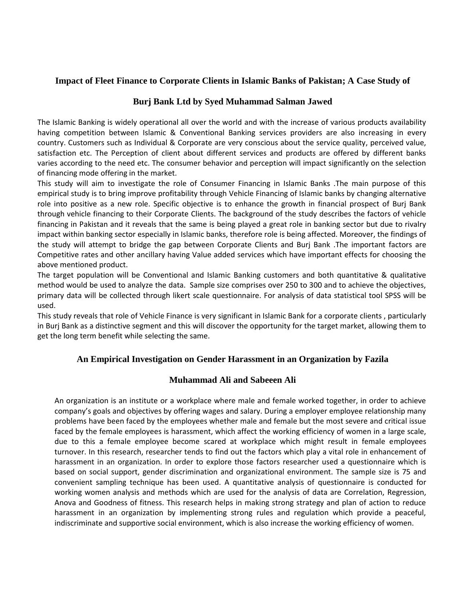#### <span id="page-13-0"></span>**Impact of Fleet Finance to Corporate Clients in Islamic Banks of Pakistan; A Case Study of**

#### **Burj Bank Ltd by Syed Muhammad Salman Jawed**

The Islamic Banking is widely operational all over the world and with the increase of various products availability having competition between Islamic & Conventional Banking services providers are also increasing in every country. Customers such as Individual & Corporate are very conscious about the service quality, perceived value, satisfaction etc. The Perception of client about different services and products are offered by different banks varies according to the need etc. The consumer behavior and perception will impact significantly on the selection of financing mode offering in the market.

This study will aim to investigate the role of Consumer Financing in Islamic Banks .The main purpose of this empirical study is to bring improve profitability through Vehicle Financing of Islamic banks by changing alternative role into positive as a new role. Specific objective is to enhance the growth in financial prospect of Burj Bank through vehicle financing to their Corporate Clients. The background of the study describes the factors of vehicle financing in Pakistan and it reveals that the same is being played a great role in banking sector but due to rivalry impact within banking sector especially in Islamic banks, therefore role is being affected. Moreover, the findings of the study will attempt to bridge the gap between Corporate Clients and Burj Bank .The important factors are Competitive rates and other ancillary having Value added services which have important effects for choosing the above mentioned product.

The target population will be Conventional and Islamic Banking customers and both quantitative & qualitative method would be used to analyze the data. Sample size comprises over 250 to 300 and to achieve the objectives, primary data will be collected through likert scale questionnaire. For analysis of data statistical tool SPSS will be used.

This study reveals that role of Vehicle Finance is very significant in Islamic Bank for a corporate clients , particularly in Burj Bank as a distinctive segment and this will discover the opportunity for the target market, allowing them to get the long term benefit while selecting the same.

#### <span id="page-13-1"></span>**An Empirical Investigation on Gender Harassment in an Organization by Fazila**

#### **Muhammad Ali and Sabeeen Ali**

An organization is an institute or a workplace where male and female worked together, in order to achieve company's goals and objectives by offering wages and salary. During a employer employee relationship many problems have been faced by the employees whether male and female but the most severe and critical issue faced by the female employees is harassment, which affect the working efficiency of women in a large scale, due to this a female employee become scared at workplace which might result in female employees turnover. In this research, researcher tends to find out the factors which play a vital role in enhancement of harassment in an organization. In order to explore those factors researcher used a questionnaire which is based on social support, gender discrimination and organizational environment. The sample size is 75 and convenient sampling technique has been used. A quantitative analysis of questionnaire is conducted for working women analysis and methods which are used for the analysis of data are Correlation, Regression, Anova and Goodness of fitness. This research helps in making strong strategy and plan of action to reduce harassment in an organization by implementing strong rules and regulation which provide a peaceful, indiscriminate and supportive social environment, which is also increase the working efficiency of women.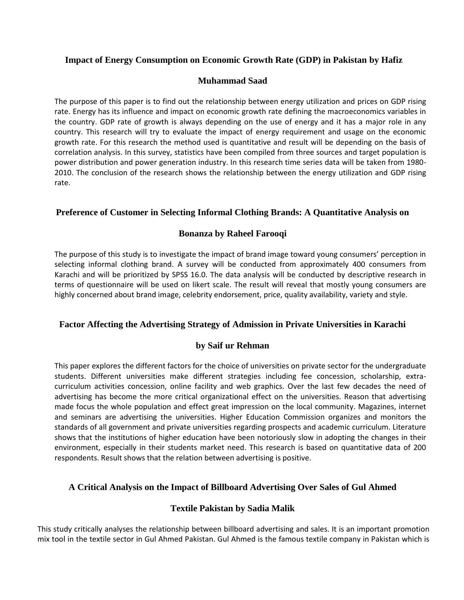#### <span id="page-14-0"></span>**Impact of Energy Consumption on Economic Growth Rate (GDP) in Pakistan by Hafiz**

#### **Muhammad Saad**

The purpose of this paper is to find out the relationship between energy utilization and prices on GDP rising rate. Energy has its influence and impact on economic growth rate defining the macroeconomics variables in the country. GDP rate of growth is always depending on the use of energy and it has a major role in any country. This research will try to evaluate the impact of energy requirement and usage on the economic growth rate. For this research the method used is quantitative and result will be depending on the basis of correlation analysis. In this survey, statistics have been compiled from three sources and target population is power distribution and power generation industry. In this research time series data will be taken from 1980- 2010. The conclusion of the research shows the relationship between the energy utilization and GDP rising rate.

#### <span id="page-14-1"></span>**Preference of Customer in Selecting Informal Clothing Brands: A Quantitative Analysis on**

#### **Bonanza by Raheel Farooqi**

The purpose of this study is to investigate the impact of brand image toward young consumers' perception in selecting informal clothing brand. A survey will be conducted from approximately 400 consumers from Karachi and will be prioritized by SPSS 16.0. The data analysis will be conducted by descriptive research in terms of questionnaire will be used on likert scale. The result will reveal that mostly young consumers are highly concerned about brand image, celebrity endorsement, price, quality availability, variety and style.

#### <span id="page-14-2"></span>**Factor Affecting the Advertising Strategy of Admission in Private Universities in Karachi**

#### **by Saif ur Rehman**

This paper explores the different factors for the choice of universities on private sector for the undergraduate students. Different universities make different strategies including fee concession, scholarship, extracurriculum activities concession, online facility and web graphics. Over the last few decades the need of advertising has become the more critical organizational effect on the universities. Reason that advertising made focus the whole population and effect great impression on the local community. Magazines, internet and seminars are advertising the universities. Higher Education Commission organizes and monitors the standards of all government and private universities regarding prospects and academic curriculum. Literature shows that the institutions of higher education have been notoriously slow in adopting the changes in their environment, especially in their students market need. This research is based on quantitative data of 200 respondents. Result shows that the relation between advertising is positive.

#### <span id="page-14-3"></span>**A Critical Analysis on the Impact of Billboard Advertising Over Sales of Gul Ahmed**

#### **Textile Pakistan by Sadia Malik**

This study critically analyses the relationship between billboard advertising and sales. It is an important promotion mix tool in the textile sector in Gul Ahmed Pakistan. Gul Ahmed is the famous textile company in Pakistan which is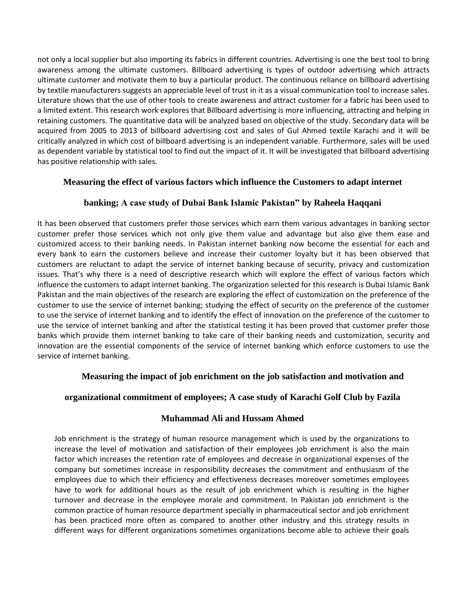not only a local supplier but also importing its fabrics in different countries. Advertising is one the best tool to bring awareness among the ultimate customers. Billboard advertising is types of outdoor advertising which attracts ultimate customer and motivate them to buy a particular product. The continuous reliance on billboard advertising by textile manufacturers suggests an appreciable level of trust in it as a visual communication tool to increase sales. Literature shows that the use of other tools to create awareness and attract customer for a fabric has been used to a limited extent. This research work explores that Billboard advertising is more influencing, attracting and helping in retaining customers. The quantitative data will be analyzed based on objective of the study. Secondary data will be acquired from 2005 to 2013 of billboard advertising cost and sales of Gul Ahmed textile Karachi and it will be critically analyzed in which cost of billboard advertising is an independent variable. Furthermore, sales will be used as dependent variable by statistical tool to find out the impact of it. It will be investigated that billboard advertising has positive relationship with sales.

#### <span id="page-15-0"></span>**Measuring the effect of various factors which influence the Customers to adapt internet**

#### **banking; A case study of Dubai Bank Islamic Pakistan" by Raheela Haqqani**

It has been observed that customers prefer those services which earn them various advantages in banking sector customer prefer those services which not only give them value and advantage but also give them ease and customized access to their banking needs. In Pakistan internet banking now become the essential for each and every bank to earn the customers believe and increase their customer loyalty but it has been observed that customers are reluctant to adapt the service of internet banking because of security, privacy and customization issues. That's why there is a need of descriptive research which will explore the effect of various factors which influence the customers to adapt internet banking. The organization selected for this research is Dubai Islamic Bank Pakistan and the main objectives of the research are exploring the effect of customization on the preference of the customer to use the service of internet banking; studying the effect of security on the preference of the customer to use the service of internet banking and to identify the effect of innovation on the preference of the customer to use the service of internet banking and after the statistical testing it has been proved that customer prefer those banks which provide them internet banking to take care of their banking needs and customization, security and innovation are the essential components of the service of internet banking which enforce customers to use the service of internet banking.

#### <span id="page-15-1"></span> **Measuring the impact of job enrichment on the job satisfaction and motivation and**

#### **organizational commitment of employees; A case study of Karachi Golf Club by Fazila**

#### **Muhammad Ali and Hussam Ahmed**

Job enrichment is the strategy of human resource management which is used by the organizations to increase the level of motivation and satisfaction of their employees job enrichment is also the main factor which increases the retention rate of employees and decrease in organizational expenses of the company but sometimes increase in responsibility decreases the commitment and enthusiasm of the employees due to which their efficiency and effectiveness decreases moreover sometimes employees have to work for additional hours as the result of job enrichment which is resulting in the higher turnover and decrease in the employee morale and commitment. In Pakistan job enrichment is the common practice of human resource department specially in pharmaceutical sector and job enrichment has been practiced more often as compared to another other industry and this strategy results in different ways for different organizations sometimes organizations become able to achieve their goals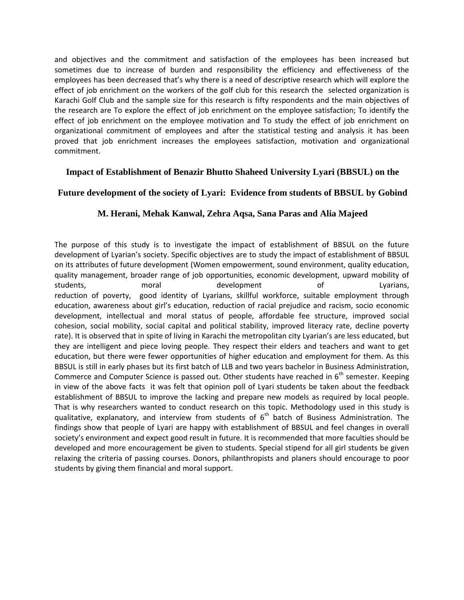and objectives and the commitment and satisfaction of the employees has been increased but sometimes due to increase of burden and responsibility the efficiency and effectiveness of the employees has been decreased that's why there is a need of descriptive research which will explore the effect of job enrichment on the workers of the golf club for this research the selected organization is Karachi Golf Club and the sample size for this research is fifty respondents and the main objectives of the research are To explore the effect of job enrichment on the employee satisfaction; To identify the effect of job enrichment on the employee motivation and To study the effect of job enrichment on organizational commitment of employees and after the statistical testing and analysis it has been proved that job enrichment increases the employees satisfaction, motivation and organizational commitment.

#### <span id="page-16-0"></span>**Impact of Establishment of Benazir Bhutto Shaheed University Lyari (BBSUL) on the**

#### **Future development of the society of Lyari: Evidence from students of BBSUL by Gobind**

#### **M. Herani, Mehak Kanwal, Zehra Aqsa, Sana Paras and Alia Majeed**

The purpose of this study is to investigate the impact of establishment of BBSUL on the future development of Lyarian's society. Specific objectives are to study the impact of establishment of BBSUL on its attributes of future development (Women empowerment, sound environment, quality education, quality management, broader range of job opportunities, economic development, upward mobility of students, and moral development of Lyarians, reduction of poverty, good identity of Lyarians, skillful workforce, suitable employment through education, awareness about girl's education, reduction of racial prejudice and racism, socio economic development, intellectual and moral status of people, affordable fee structure, improved social cohesion, social mobility, social capital and political stability, improved literacy rate, decline poverty rate). It is observed that in spite of living in Karachi the metropolitan city Lyarian's are less educated, but they are intelligent and piece loving people. They respect their elders and teachers and want to get education, but there were fewer opportunities of higher education and employment for them. As this BBSUL is still in early phases but its first batch of LLB and two years bachelor in Business Administration, Commerce and Computer Science is passed out. Other students have reached in  $6<sup>th</sup>$  semester. Keeping in view of the above facts it was felt that opinion poll of Lyari students be taken about the feedback establishment of BBSUL to improve the lacking and prepare new models as required by local people. That is why researchers wanted to conduct research on this topic. Methodology used in this study is qualitative, explanatory, and interview from students of  $6<sup>th</sup>$  batch of Business Administration. The findings show that people of Lyari are happy with establishment of BBSUL and feel changes in overall society's environment and expect good result in future. It is recommended that more faculties should be developed and more encouragement be given to students. Special stipend for all girl students be given relaxing the criteria of passing courses. Donors, philanthropists and planers should encourage to poor students by giving them financial and moral support.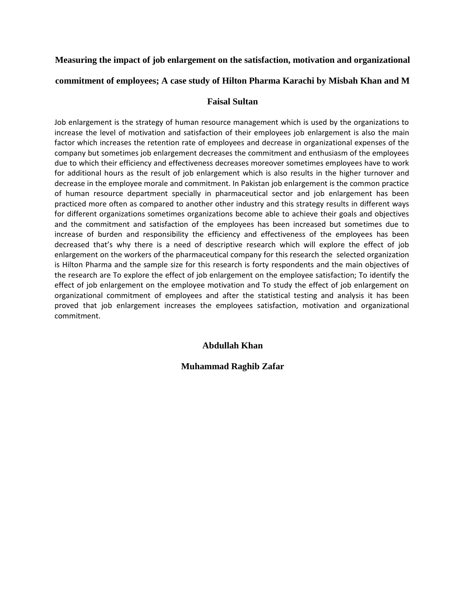#### <span id="page-17-0"></span>**Measuring the impact of job enlargement on the satisfaction, motivation and organizational**

#### **commitment of employees; A case study of Hilton Pharma Karachi by Misbah Khan and M**

#### **Faisal Sultan**

Job enlargement is the strategy of human resource management which is used by the organizations to increase the level of motivation and satisfaction of their employees job enlargement is also the main factor which increases the retention rate of employees and decrease in organizational expenses of the company but sometimes job enlargement decreases the commitment and enthusiasm of the employees due to which their efficiency and effectiveness decreases moreover sometimes employees have to work for additional hours as the result of job enlargement which is also results in the higher turnover and decrease in the employee morale and commitment. In Pakistan job enlargement is the common practice of human resource department specially in pharmaceutical sector and job enlargement has been practiced more often as compared to another other industry and this strategy results in different ways for different organizations sometimes organizations become able to achieve their goals and objectives and the commitment and satisfaction of the employees has been increased but sometimes due to increase of burden and responsibility the efficiency and effectiveness of the employees has been decreased that's why there is a need of descriptive research which will explore the effect of job enlargement on the workers of the pharmaceutical company for this research the selected organization is Hilton Pharma and the sample size for this research is forty respondents and the main objectives of the research are To explore the effect of job enlargement on the employee satisfaction; To identify the effect of job enlargement on the employee motivation and To study the effect of job enlargement on organizational commitment of employees and after the statistical testing and analysis it has been proved that job enlargement increases the employees satisfaction, motivation and organizational commitment.

#### **Abdullah Khan**

#### <span id="page-17-2"></span><span id="page-17-1"></span>**Muhammad Raghib Zafar**